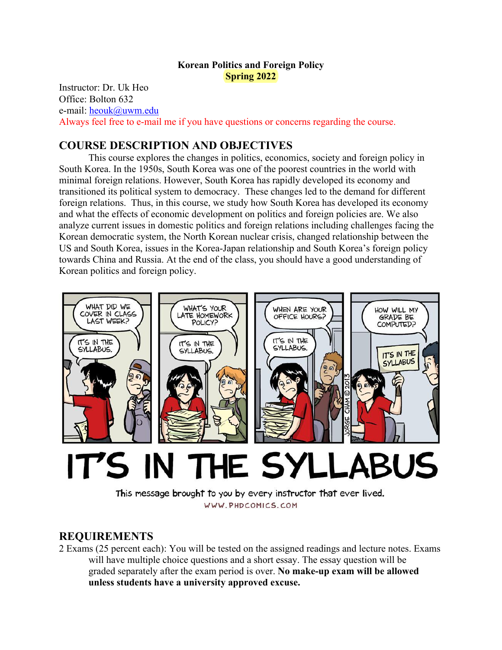# **Korean Politics and Foreign Policy Spring 2022**

Instructor: Dr. Uk Heo Office: Bolton 632 e-mail: heouk@uwm.edu Always feel free to e-mail me if you have questions or concerns regarding the course.

# **COURSE DESCRIPTION AND OBJECTIVES**

This course explores the changes in politics, economics, society and foreign policy in South Korea. In the 1950s, South Korea was one of the poorest countries in the world with minimal foreign relations. However, South Korea has rapidly developed its economy and transitioned its political system to democracy. These changes led to the demand for different foreign relations. Thus, in this course, we study how South Korea has developed its economy and what the effects of economic development on politics and foreign policies are. We also analyze current issues in domestic politics and foreign relations including challenges facing the Korean democratic system, the North Korean nuclear crisis, changed relationship between the US and South Korea, issues in the Korea-Japan relationship and South Korea's foreign policy towards China and Russia. At the end of the class, you should have a good understanding of Korean politics and foreign policy.



# IT'S IN THE SYLLABUS

This message brought to you by every instructor that ever lived. WWW.PHDCOMICS.COM

# **REQUIREMENTS**

2 Exams (25 percent each): You will be tested on the assigned readings and lecture notes. Exams will have multiple choice questions and a short essay. The essay question will be graded separately after the exam period is over. **No make-up exam will be allowed unless students have a university approved excuse.**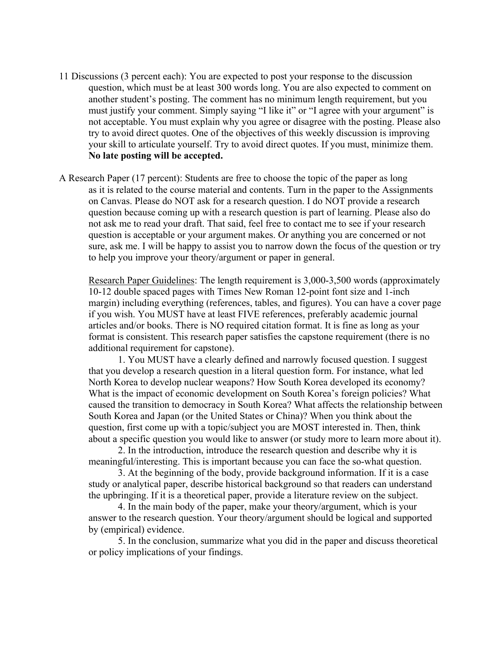- 11 Discussions (3 percent each): You are expected to post your response to the discussion question, which must be at least 300 words long. You are also expected to comment on another student's posting. The comment has no minimum length requirement, but you must justify your comment. Simply saying "I like it" or "I agree with your argument" is not acceptable. You must explain why you agree or disagree with the posting. Please also try to avoid direct quotes. One of the objectives of this weekly discussion is improving your skill to articulate yourself. Try to avoid direct quotes. If you must, minimize them. **No late posting will be accepted.**
- A Research Paper (17 percent): Students are free to choose the topic of the paper as long as it is related to the course material and contents. Turn in the paper to the Assignments on Canvas. Please do NOT ask for a research question. I do NOT provide a research question because coming up with a research question is part of learning. Please also do not ask me to read your draft. That said, feel free to contact me to see if your research question is acceptable or your argument makes. Or anything you are concerned or not sure, ask me. I will be happy to assist you to narrow down the focus of the question or try to help you improve your theory/argument or paper in general.

Research Paper Guidelines: The length requirement is 3,000-3,500 words (approximately 10-12 double spaced pages with Times New Roman 12-point font size and 1-inch margin) including everything (references, tables, and figures). You can have a cover page if you wish. You MUST have at least FIVE references, preferably academic journal articles and/or books. There is NO required citation format. It is fine as long as your format is consistent. This research paper satisfies the capstone requirement (there is no additional requirement for capstone).

1. You MUST have a clearly defined and narrowly focused question. I suggest that you develop a research question in a literal question form. For instance, what led North Korea to develop nuclear weapons? How South Korea developed its economy? What is the impact of economic development on South Korea's foreign policies? What caused the transition to democracy in South Korea? What affects the relationship between South Korea and Japan (or the United States or China)? When you think about the question, first come up with a topic/subject you are MOST interested in. Then, think about a specific question you would like to answer (or study more to learn more about it).

2. In the introduction, introduce the research question and describe why it is meaningful/interesting. This is important because you can face the so-what question.

3. At the beginning of the body, provide background information. If it is a case study or analytical paper, describe historical background so that readers can understand the upbringing. If it is a theoretical paper, provide a literature review on the subject.

4. In the main body of the paper, make your theory/argument, which is your answer to the research question. Your theory/argument should be logical and supported by (empirical) evidence.

5. In the conclusion, summarize what you did in the paper and discuss theoretical or policy implications of your findings.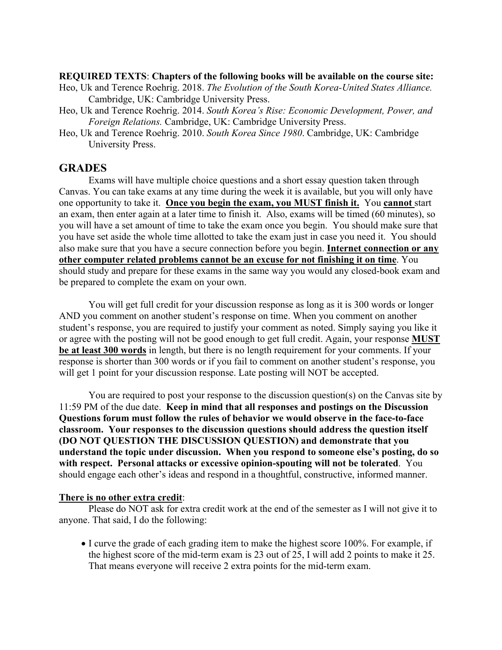#### **REQUIRED TEXTS**: **Chapters of the following books will be available on the course site:**

- Heo, Uk and Terence Roehrig. 2018. *The Evolution of the South Korea-United States Alliance.*  Cambridge, UK: Cambridge University Press.
- Heo, Uk and Terence Roehrig. 2014. *South Korea's Rise: Economic Development, Power, and Foreign Relations.* Cambridge, UK: Cambridge University Press.
- Heo, Uk and Terence Roehrig. 2010. *South Korea Since 1980*. Cambridge, UK: Cambridge University Press.

## **GRADES**

Exams will have multiple choice questions and a short essay question taken through Canvas. You can take exams at any time during the week it is available, but you will only have one opportunity to take it. **Once you begin the exam, you MUST finish it.** You **cannot** start an exam, then enter again at a later time to finish it. Also, exams will be timed (60 minutes), so you will have a set amount of time to take the exam once you begin. You should make sure that you have set aside the whole time allotted to take the exam just in case you need it. You should also make sure that you have a secure connection before you begin. **Internet connection or any other computer related problems cannot be an excuse for not finishing it on time**. You should study and prepare for these exams in the same way you would any closed-book exam and be prepared to complete the exam on your own.

You will get full credit for your discussion response as long as it is 300 words or longer AND you comment on another student's response on time. When you comment on another student's response, you are required to justify your comment as noted. Simply saying you like it or agree with the posting will not be good enough to get full credit. Again, your response **MUST be at least 300 words** in length, but there is no length requirement for your comments. If your response is shorter than 300 words or if you fail to comment on another student's response, you will get 1 point for your discussion response. Late posting will NOT be accepted.

You are required to post your response to the discussion question(s) on the Canvas site by 11:59 PM of the due date. **Keep in mind that all responses and postings on the Discussion Questions forum must follow the rules of behavior we would observe in the face-to-face classroom. Your responses to the discussion questions should address the question itself (DO NOT QUESTION THE DISCUSSION QUESTION) and demonstrate that you understand the topic under discussion. When you respond to someone else's posting, do so with respect. Personal attacks or excessive opinion-spouting will not be tolerated**. You should engage each other's ideas and respond in a thoughtful, constructive, informed manner.

#### **There is no other extra credit**:

Please do NOT ask for extra credit work at the end of the semester as I will not give it to anyone. That said, I do the following:

• I curve the grade of each grading item to make the highest score 100%. For example, if the highest score of the mid-term exam is 23 out of 25, I will add 2 points to make it 25. That means everyone will receive 2 extra points for the mid-term exam.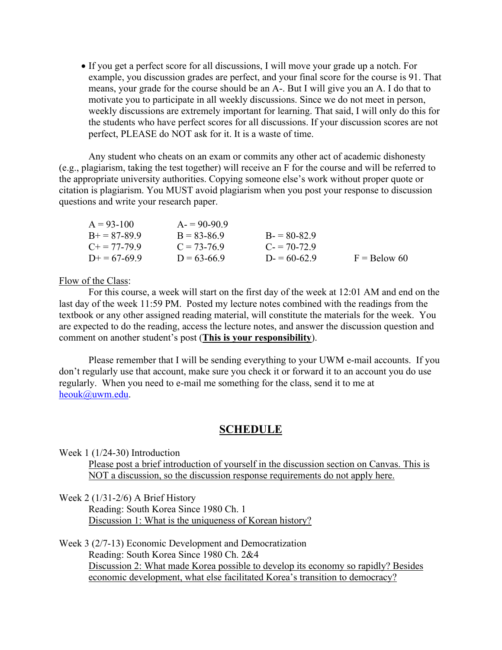If you get a perfect score for all discussions, I will move your grade up a notch. For example, you discussion grades are perfect, and your final score for the course is 91. That means, your grade for the course should be an A-. But I will give you an A. I do that to motivate you to participate in all weekly discussions. Since we do not meet in person, weekly discussions are extremely important for learning. That said, I will only do this for the students who have perfect scores for all discussions. If your discussion scores are not perfect, PLEASE do NOT ask for it. It is a waste of time.

Any student who cheats on an exam or commits any other act of academic dishonesty (e.g., plagiarism, taking the test together) will receive an F for the course and will be referred to the appropriate university authorities. Copying someone else's work without proper quote or citation is plagiarism. You MUST avoid plagiarism when you post your response to discussion questions and write your research paper.

| $A = 93-100$          | $A = 90-90.9$   |               |                |
|-----------------------|-----------------|---------------|----------------|
| $B+=87-89.9$          | $B = 83 - 86.9$ | $B = 80-82.9$ |                |
| $C_{\pm} = 77 - 79.9$ | $C = 73-76.9$   | $C = 70-72.9$ |                |
| $D+=67-69.9$          | $D = 63-66.9$   | $D = 60-62.9$ | $F =$ Below 60 |

Flow of the Class:

For this course, a week will start on the first day of the week at 12:01 AM and end on the last day of the week 11:59 PM. Posted my lecture notes combined with the readings from the textbook or any other assigned reading material, will constitute the materials for the week. You are expected to do the reading, access the lecture notes, and answer the discussion question and comment on another student's post (**This is your responsibility**).

Please remember that I will be sending everything to your UWM e-mail accounts. If you don't regularly use that account, make sure you check it or forward it to an account you do use regularly. When you need to e-mail me something for the class, send it to me at heouk@uwm.edu.

# **SCHEDULE**

Week 1 (1/24-30) Introduction

Please post a brief introduction of yourself in the discussion section on Canvas. This is NOT a discussion, so the discussion response requirements do not apply here.

Week 2 (1/31-2/6) A Brief History

 Reading: South Korea Since 1980 Ch. 1 Discussion 1: What is the uniqueness of Korean history?

Week 3 (2/7-13) Economic Development and Democratization Reading: South Korea Since 1980 Ch. 2&4 Discussion 2: What made Korea possible to develop its economy so rapidly? Besides economic development, what else facilitated Korea's transition to democracy?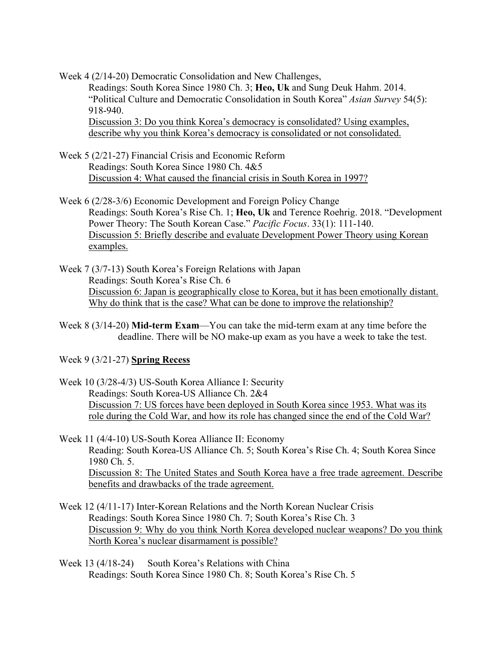Week 4 (2/14-20) Democratic Consolidation and New Challenges, Readings: South Korea Since 1980 Ch. 3; **Heo, Uk** and Sung Deuk Hahm. 2014. "Political Culture and Democratic Consolidation in South Korea" *Asian Survey* 54(5): 918-940. Discussion 3: Do you think Korea's democracy is consolidated? Using examples, describe why you think Korea's democracy is consolidated or not consolidated.

- Week 5 (2/21-27) Financial Crisis and Economic Reform Readings: South Korea Since 1980 Ch. 4&5 Discussion 4: What caused the financial crisis in South Korea in 1997?
- Week 6 (2/28-3/6) Economic Development and Foreign Policy Change Readings: South Korea's Rise Ch. 1; **Heo, Uk** and Terence Roehrig. 2018. "Development Power Theory: The South Korean Case." *Pacific Focus*. 33(1): 111-140. Discussion 5: Briefly describe and evaluate Development Power Theory using Korean examples.
- Week 7 (3/7-13) South Korea's Foreign Relations with Japan Readings: South Korea's Rise Ch. 6 Discussion 6: Japan is geographically close to Korea, but it has been emotionally distant. Why do think that is the case? What can be done to improve the relationship?
- Week 8 (3/14-20) **Mid-term Exam**—You can take the mid-term exam at any time before the deadline. There will be NO make-up exam as you have a week to take the test.

Week 9 (3/21-27) **Spring Recess**

Week 10 (3/28-4/3) US-South Korea Alliance I: Security Readings: South Korea-US Alliance Ch. 2&4 Discussion 7: US forces have been deployed in South Korea since 1953. What was its role during the Cold War, and how its role has changed since the end of the Cold War?

Week 11 (4/4-10) US-South Korea Alliance II: Economy Reading: South Korea-US Alliance Ch. 5; South Korea's Rise Ch. 4; South Korea Since 1980 Ch. 5. Discussion 8: The United States and South Korea have a free trade agreement. Describe benefits and drawbacks of the trade agreement.

- Week 12 (4/11-17) Inter-Korean Relations and the North Korean Nuclear Crisis Readings: South Korea Since 1980 Ch. 7; South Korea's Rise Ch. 3 Discussion 9: Why do you think North Korea developed nuclear weapons? Do you think North Korea's nuclear disarmament is possible?
- Week 13 (4/18-24) South Korea's Relations with China Readings: South Korea Since 1980 Ch. 8; South Korea's Rise Ch. 5